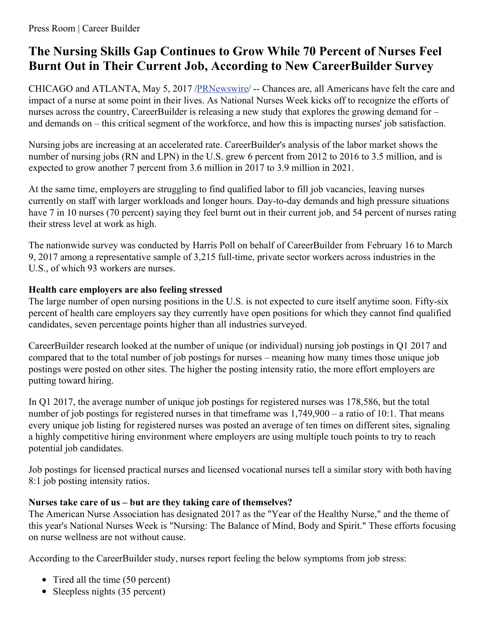# **The Nursing Skills Gap Continues to Grow While 70 Percent of Nurses Feel Burnt Out in Their Current Job, According to New CareerBuilder Survey**

CHICAGO and ATLANTA, May 5, 2017 [/PRNewswire](http://www.prnewswire.com/)/ -- Chances are, all Americans have felt the care and impact of a nurse at some point in their lives. As National Nurses Week kicks off to recognize the efforts of nurses across the country, CareerBuilder is releasing a new study that explores the growing demand for – and demands on – this critical segment of the workforce, and how this is impacting nurses' job satisfaction.

Nursing jobs are increasing at an accelerated rate. CareerBuilder's analysis of the labor market shows the number of nursing jobs (RN and LPN) in the U.S. grew 6 percent from 2012 to 2016 to 3.5 million, and is expected to grow another 7 percent from 3.6 million in 2017 to 3.9 million in 2021.

At the same time, employers are struggling to find qualified labor to fill job vacancies, leaving nurses currently on staff with larger workloads and longer hours. Day-to-day demands and high pressure situations have 7 in 10 nurses (70 percent) saying they feel burnt out in their current job, and 54 percent of nurses rating their stress level at work as high.

The nationwide survey was conducted by Harris Poll on behalf of CareerBuilder from February 16 to March 9, 2017 among a representative sample of 3,215 full-time, private sector workers across industries in the U.S., of which 93 workers are nurses.

# **Health care employers are also feeling stressed**

The large number of open nursing positions in the U.S. is not expected to cure itself anytime soon. Fifty-six percent of health care employers say they currently have open positions for which they cannot find qualified candidates, seven percentage points higher than all industries surveyed.

CareerBuilder research looked at the number of unique (or individual) nursing job postings in Q1 2017 and compared that to the total number of job postings for nurses – meaning how many times those unique job postings were posted on other sites. The higher the posting intensity ratio, the more effort employers are putting toward hiring.

In Q1 2017, the average number of unique job postings for registered nurses was 178,586, but the total number of job postings for registered nurses in that timeframe was  $1,749,900 - a$  ratio of 10:1. That means every unique job listing for registered nurses was posted an average of ten times on different sites, signaling a highly competitive hiring environment where employers are using multiple touch points to try to reach potential job candidates.

Job postings for licensed practical nurses and licensed vocational nurses tell a similar story with both having 8:1 job posting intensity ratios.

# **Nurses take care of us – but are they taking care of themselves?**

The American Nurse Association has designated 2017 as the "Year of the Healthy Nurse," and the theme of this year's National Nurses Week is "Nursing: The Balance of Mind, Body and Spirit." These efforts focusing on nurse wellness are not without cause.

According to the CareerBuilder study, nurses report feeling the below symptoms from job stress:

- Tired all the time (50 percent)
- Sleepless nights (35 percent)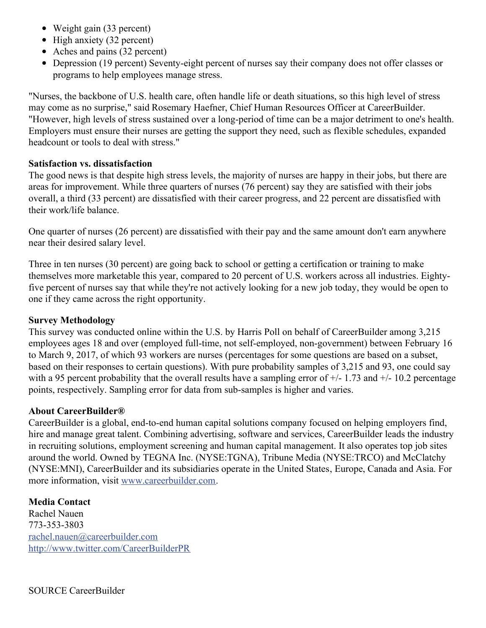- Weight gain (33 percent)
- $\bullet$  High anxiety (32 percent)
- Aches and pains (32 percent)
- Depression (19 percent) Seventy-eight percent of nurses say their company does not offer classes or programs to help employees manage stress.

"Nurses, the backbone of U.S. health care, often handle life or death situations, so this high level of stress may come as no surprise," said Rosemary Haefner, Chief Human Resources Officer at CareerBuilder. "However, high levels of stress sustained over a long-period of time can be a major detriment to one's health. Employers must ensure their nurses are getting the support they need, such as flexible schedules, expanded headcount or tools to deal with stress."

## **Satisfaction vs. dissatisfaction**

The good news is that despite high stress levels, the majority of nurses are happy in their jobs, but there are areas for improvement. While three quarters of nurses (76 percent) say they are satisfied with their jobs overall, a third (33 percent) are dissatisfied with their career progress, and 22 percent are dissatisfied with their work/life balance.

One quarter of nurses (26 percent) are dissatisfied with their pay and the same amount don't earn anywhere near their desired salary level.

Three in ten nurses (30 percent) are going back to school or getting a certification or training to make themselves more marketable this year, compared to 20 percent of U.S. workers across all industries. Eightyfive percent of nurses say that while they're not actively looking for a new job today, they would be open to one if they came across the right opportunity.

### **Survey Methodology**

This survey was conducted online within the U.S. by Harris Poll on behalf of CareerBuilder among 3,215 employees ages 18 and over (employed full-time, not self-employed, non-government) between February 16 to March 9, 2017, of which 93 workers are nurses (percentages for some questions are based on a subset, based on their responses to certain questions). With pure probability samples of 3,215 and 93, one could say with a 95 percent probability that the overall results have a sampling error of  $+/-1.73$  and  $+/-10.2$  percentage points, respectively. Sampling error for data from sub-samples is higher and varies.

### **About CareerBuilder®**

CareerBuilder is a global, end-to-end human capital solutions company focused on helping employers find, hire and manage great talent. Combining advertising, software and services, CareerBuilder leads the industry in recruiting solutions, employment screening and human capital management. It also operates top job sites around the world. Owned by TEGNA Inc. (NYSE:TGNA), Tribune Media (NYSE:TRCO) and McClatchy (NYSE:MNI), CareerBuilder and its subsidiaries operate in the United States, Europe, Canada and Asia. For more information, visit [www.careerbuilder.com](http://www.careerbuilder.com/).

### **Media Contact**

Rachel Nauen 773-353-3803 [rachel.nauen@careerbuilder.com](mailto:rachel.nauen@careerbuilder.com) <http://www.twitter.com/CareerBuilderPR>